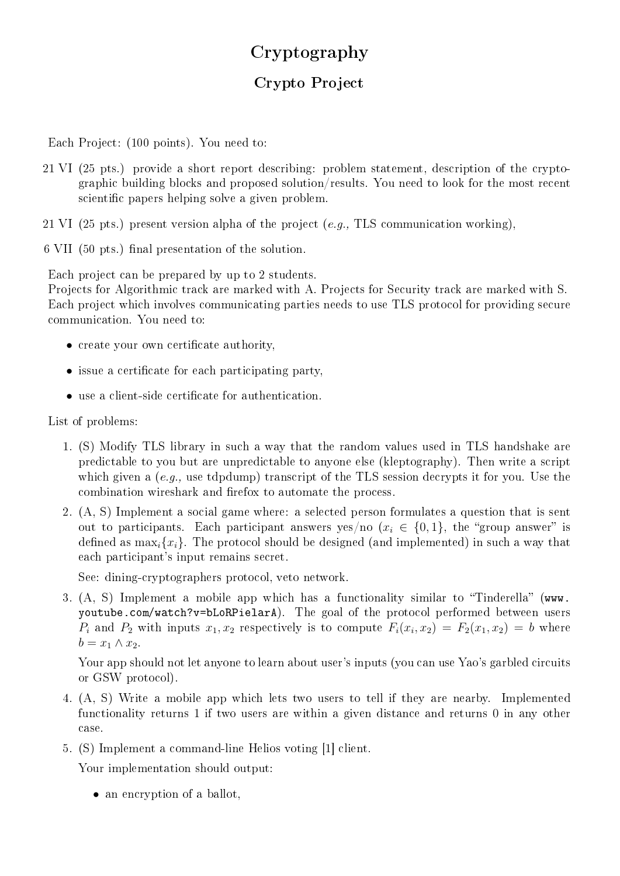## Cryptography

## Crypto Project

Each Project: (100 points). You need to:

21 VI (25 pts.) provide a short report describing: problem statement, description of the cryptographic building blocks and proposed solution/results. You need to look for the most recent scientific papers helping solve a given problem.

21 VI (25 pts.) present version alpha of the project (e.g., TLS communication working),

6 VII (50 pts.) final presentation of the solution.

Each project can be prepared by up to 2 students.

Projects for Algorithmic track are marked with A. Projects for Security track are marked with S. Each project which involves communicating parties needs to use TLS protocol for providing secure communication. You need to:

- create your own certificate authority,
- $\bullet$  issue a certificate for each participating party.
- use a client-side certificate for authentication.

List of problems:

- 1. (S) Modify TLS library in such a way that the random values used in TLS handshake are predictable to you but are unpredictable to anyone else (kleptography). Then write a script which given a (e.g., use tdpdump) transcript of the TLS session decrypts it for you. Use the combination wireshark and firefox to automate the process.
- 2. (A, S) Implement a social game where: a selected person formulates a question that is sent out to participants. Each participant answers yes/no  $(x_i \in \{0,1\})$ , the "group answer" is defined as  $\max_i \{x_i\}$ . The protocol should be designed (and implemented) in such a way that each participant's input remains secret.

See: dining-cryptographers protocol, veto network.

3.  $(A, S)$  Implement a mobile app which has a functionality similar to "Tinderella" (www. youtube.com/watch?v=bLoRPielarA). The goal of the protocol performed between users  $P_i$  and  $P_2$  with inputs  $x_1, x_2$  respectively is to compute  $F_i(x_i, x_2) = F_2(x_1, x_2) = b$  where  $b = x_1 \wedge x_2$ .

Your app should not let anyone to learn about user's inputs (you can use Yao's garbled circuits or GSW protocol).

- 4. (A, S) Write a mobile app which lets two users to tell if they are nearby. Implemented functionality returns 1 if two users are within a given distance and returns 0 in any other case.
- 5. (S) Implement a command-line Helios voting [1] client.

Your implementation should output:

• an encryption of a ballot,